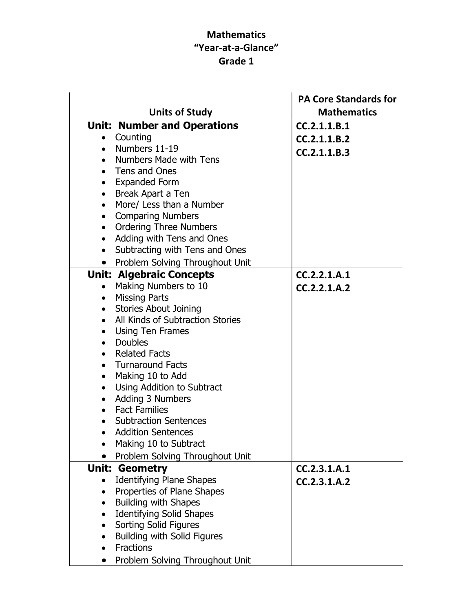## Mathematics "Year-at-a-Glance" Grade 1

|                                                        | <b>PA Core Standards for</b> |
|--------------------------------------------------------|------------------------------|
| <b>Units of Study</b>                                  | <b>Mathematics</b>           |
| <b>Unit: Number and Operations</b>                     | CC.2.1.1.B.1                 |
| • Counting                                             | CC.2.1.1.B.2                 |
| $\bullet$ Numbers 11-19                                | CC.2.1.1.B.3                 |
| • Numbers Made with Tens                               |                              |
| • Tens and Ones                                        |                              |
| • Expanded Form                                        |                              |
| Break Apart a Ten<br>$\bullet$                         |                              |
| More/ Less than a Number<br>$\bullet$                  |                              |
| <b>Comparing Numbers</b><br>$\bullet$                  |                              |
| <b>Ordering Three Numbers</b><br>$\bullet$             |                              |
| Adding with Tens and Ones<br>$\bullet$                 |                              |
| Subtracting with Tens and Ones<br>$\bullet$            |                              |
| Problem Solving Throughout Unit<br>$\bullet$           |                              |
| <b>Unit: Algebraic Concepts</b>                        | CC.2.2.1.A.1                 |
| Making Numbers to 10<br>$\bullet$                      | CC.2.2.1.A.2                 |
| • Missing Parts                                        |                              |
| • Stories About Joining                                |                              |
| All Kinds of Subtraction Stories<br>$\bullet$          |                              |
| <b>Using Ten Frames</b><br>$\bullet$                   |                              |
| • Doubles                                              |                              |
| • Related Facts                                        |                              |
| • Turnaround Facts                                     |                              |
| Making 10 to Add<br>$\bullet$                          |                              |
| Using Addition to Subtract<br>$\bullet$                |                              |
| Adding 3 Numbers<br>$\bullet$                          |                              |
| <b>Fact Families</b><br>$\bullet$                      |                              |
| <b>Subtraction Sentences</b>                           |                              |
| • Addition Sentences                                   |                              |
| Making 10 to Subtract                                  |                              |
| Problem Solving Throughout Unit                        |                              |
| <b>Unit: Geometry</b>                                  | CC.2.3.1.A.1                 |
| <b>Identifying Plane Shapes</b><br>$\bullet$           | CC.2.3.1.A.2                 |
| Properties of Plane Shapes<br>$\bullet$                |                              |
| <b>Building with Shapes</b><br>$\bullet$               |                              |
| <b>Identifying Solid Shapes</b><br>$\bullet$           |                              |
| Sorting Solid Figures<br>$\bullet$                     |                              |
| <b>Building with Solid Figures</b><br><b>Fractions</b> |                              |
|                                                        |                              |
| Problem Solving Throughout Unit                        |                              |